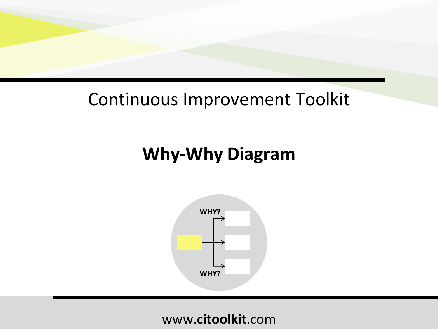### Continuous Improvement Toolkit

### **Why-Why Diagram**

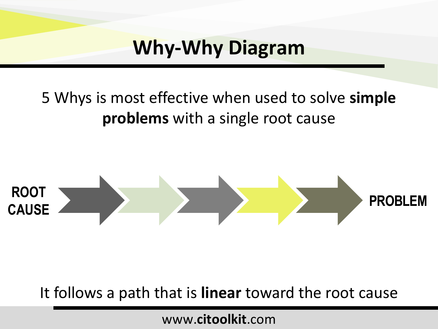### 5 Whys is most effective when used to solve **simple problems** with a single root cause



It follows a path that is **linear** toward the root cause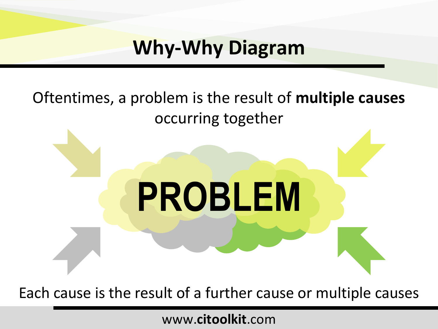### Oftentimes, a problem is the result of **multiple causes**  occurring together

# **PROBLEM**

Each cause is the result of a further cause or multiple causes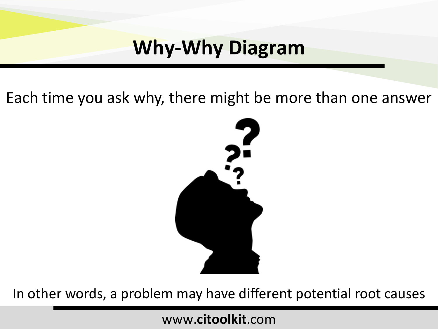Each time you ask why, there might be more than one answer



In other words, a problem may have different potential root causes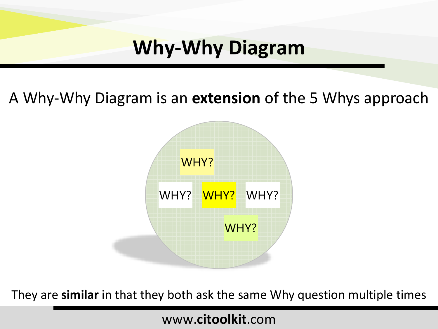A Why-Why Diagram is an **extension** of the 5 Whys approach



They are **similar** in that they both ask the same Why question multiple times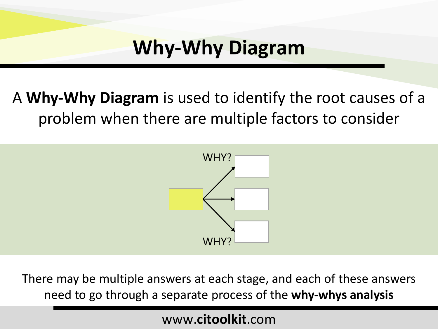### A **Why-Why Diagram** is used to identify the root causes of a problem when there are multiple factors to consider



There may be multiple answers at each stage, and each of these answers need to go through a separate process of the **why-whys analysis**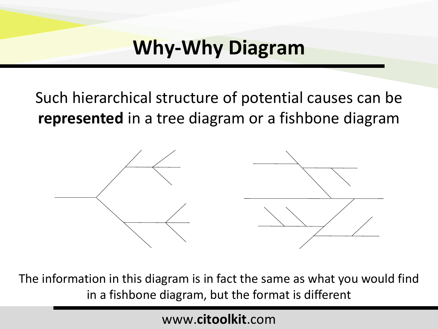Such hierarchical structure of potential causes can be **represented** in a tree diagram or a fishbone diagram



The information in this diagram is in fact the same as what you would find in a fishbone diagram, but the format is different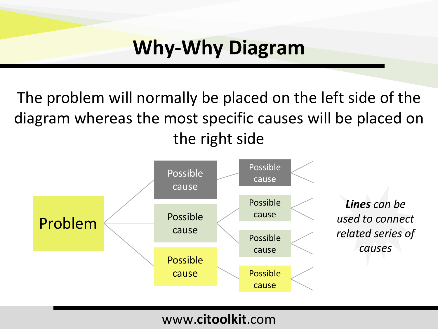The problem will normally be placed on the left side of the diagram whereas the most specific causes will be placed on the right side

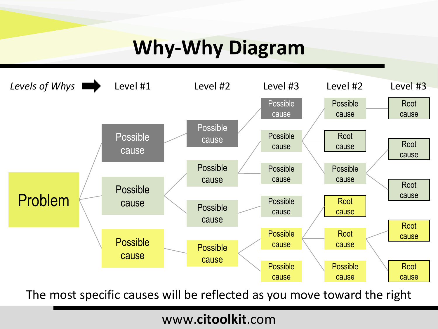

The most specific causes will be reflected as you move toward the right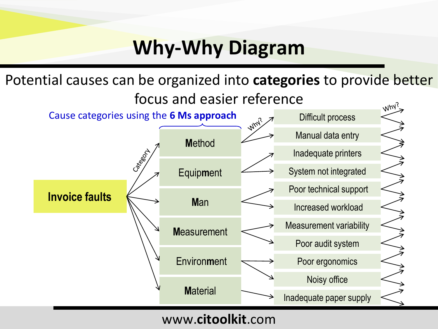Potential causes can be organized into **categories** to provide better focus and easier reference



www.**citoolkit**.com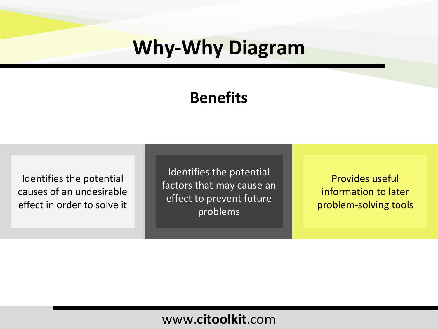### **Benefits**

Identifies the potential causes of an undesirable effect in order to solve it

Identifies the potential factors that may cause an effect to prevent future problems

Provides useful information to later problem-solving tools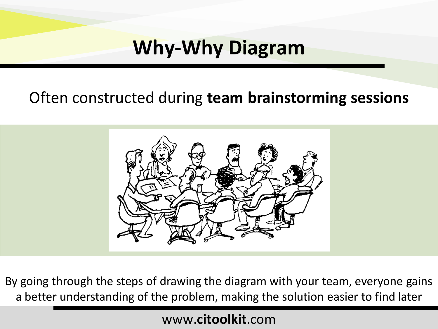### Often constructed during **team brainstorming sessions**



By going through the steps of drawing the diagram with your team, everyone gains a better understanding of the problem, making the solution easier to find later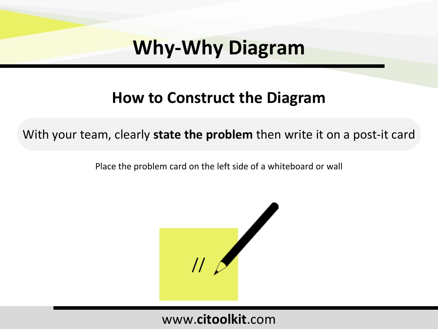### **How to Construct the Diagram**

With your team, clearly **state the problem** then write it on a post-it card

Place the problem card on the left side of a whiteboard or wall

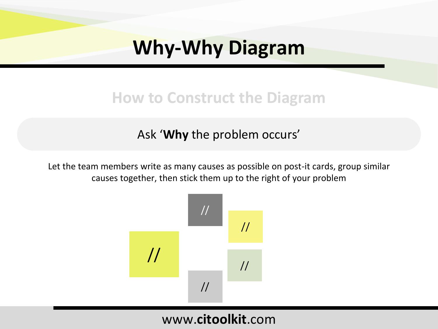### **How to Construct the Diagram**

#### Ask '**Why** the problem occurs'

Let the team members write as many causes as possible on post-it cards, group similar causes together, then stick them up to the right of your problem

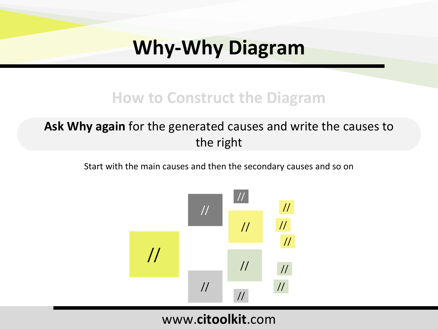### **How to Construct the Diagram**

#### **Ask Why again** for the generated causes and write the causes to the right

Start with the main causes and then the secondary causes and so on

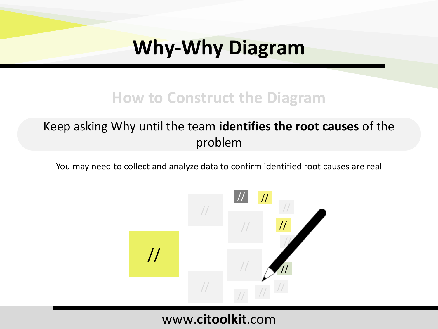### **How to Construct the Diagram**

#### Keep asking Why until the team **identifies the root causes** of the problem

You may need to collect and analyze data to confirm identified root causes are real

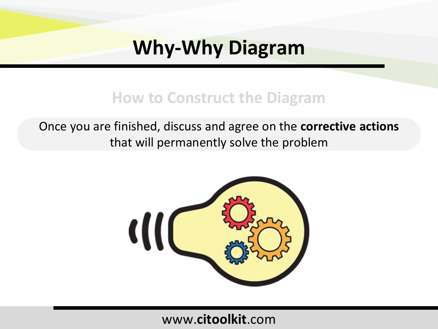### **How to Construct the Diagram**

Once you are finished, discuss and agree on the **corrective actions** that will permanently solve the problem

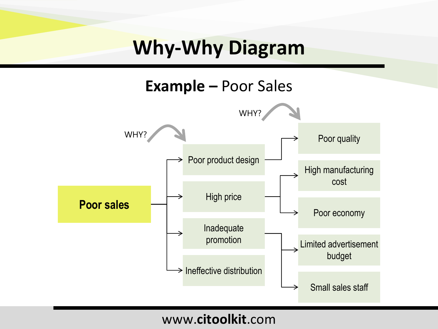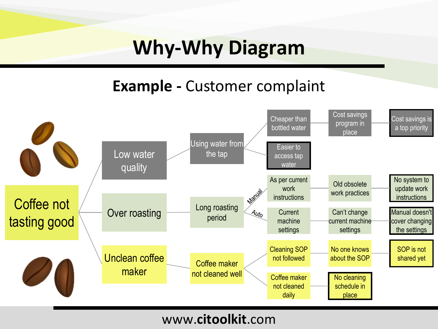### **Example -** Customer complaint

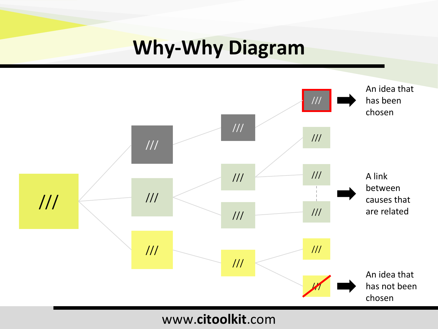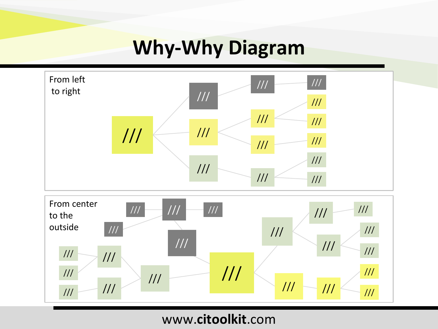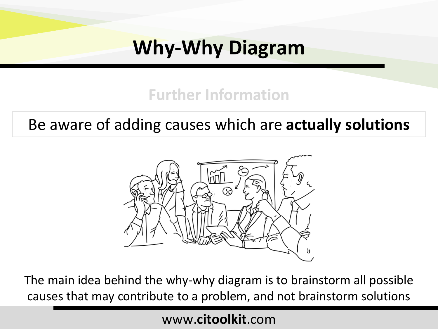### **Further Information**

### Be aware of adding causes which are **actually solutions**



The main idea behind the why-why diagram is to brainstorm all possible causes that may contribute to a problem, and not brainstorm solutions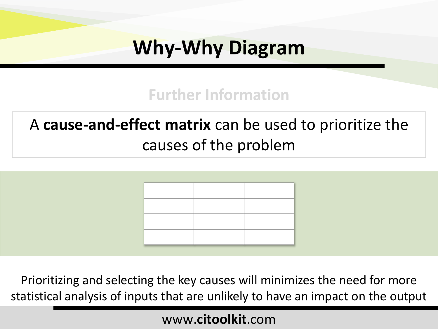### **Further Information**

### A **cause-and-effect matrix** can be used to prioritize the causes of the problem



Prioritizing and selecting the key causes will minimizes the need for more statistical analysis of inputs that are unlikely to have an impact on the output